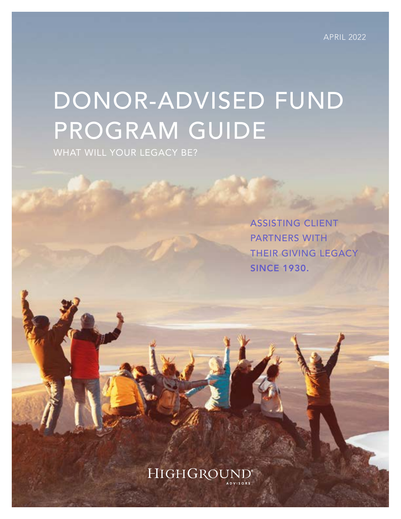# DONOR-ADVISED FUND PROGRAM GUIDE

WHAT WILL YOUR LEGACY BE?

ASSISTING CLIENT PARTNERS WITH THEIR GIVING LEGACY **SINCE 1930.** 

### HIGHGROUNI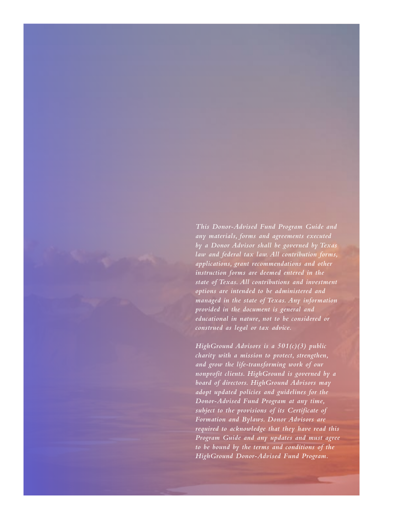*This Donor-Advised Fund Program Guide and any materials, forms and agreements executed by a Donor Advisor shall be governed by Texas law and federal tax law. All contribution forms, applications, grant recommendations and other instruction forms are deemed entered in the state of Texas. All contributions and investment options are intended to be administered and managed in the state of Texas. Any information provided in the document is general and educational in nature, not to be considered or construed as legal or tax advice.* 

*HighGround Advisors is a 501(c)(3) public charity with a mission to protect, strengthen, and grow the life-transforming work of our nonprofit clients. HighGround is governed by a board of directors. HighGround Advisors may adopt updated policies and guidelines for the Donor-Advised Fund Program at any time, subject to the provisions of its Certificate of Formation and Bylaws. Donor Advisors are required to acknowledge that they have read this Program Guide and any updates and must agree to be bound by the terms and conditions of the HighGround Donor-Advised Fund Program.*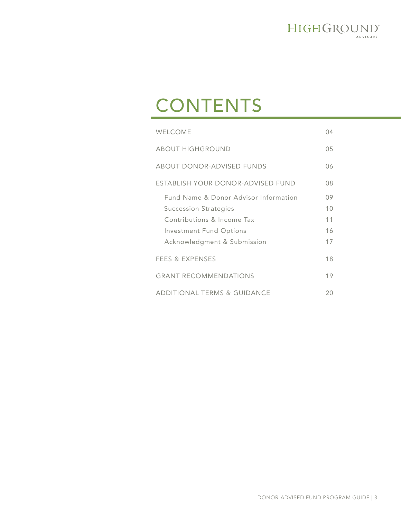

## CONTENTS

| WELCOME                                                                                                                                                              | 04                         |
|----------------------------------------------------------------------------------------------------------------------------------------------------------------------|----------------------------|
| <b>ABOUT HIGHGROUND</b>                                                                                                                                              | 05                         |
| ABOUT DONOR-ADVISED FUNDS                                                                                                                                            | 06                         |
| ESTABLISH YOUR DONOR-ADVISED FUND                                                                                                                                    | 08                         |
| Fund Name & Donor Advisor Information<br><b>Succession Strategies</b><br>Contributions & Income Tax<br><b>Investment Fund Options</b><br>Acknowledgment & Submission | 09<br>10<br>11<br>16<br>17 |
| <b>FEES &amp; EXPENSES</b>                                                                                                                                           | 18                         |
| <b>GRANT RECOMMENDATIONS</b>                                                                                                                                         | 19                         |
| <b>ADDITIONAL TERMS &amp; GUIDANCE</b>                                                                                                                               | 20                         |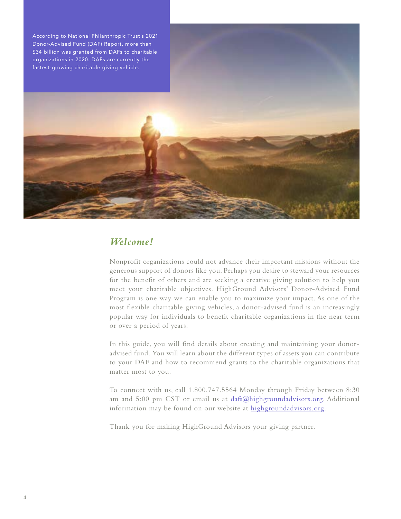

#### *Welcome!*

Nonprofit organizations could not advance their important missions without the generous support of donors like you. Perhaps you desire to steward your resources for the benefit of others and are seeking a creative giving solution to help you meet your charitable objectives. HighGround Advisors' Donor-Advised Fund Program is one way we can enable you to maximize your impact. As one of the most flexible charitable giving vehicles, a donor-advised fund is an increasingly popular way for individuals to benefit charitable organizations in the near term or over a period of years.

In this guide, you will find details about creating and maintaining your donoradvised fund. You will learn about the different types of assets you can contribute to your DAF and how to recommend grants to the charitable organizations that matter most to you.

To connect with us, call 1.800.747.5564 Monday through Friday between 8:30 am and 5:00 pm CST or email us at [dafs@highgroundadvisors.org](mailto:dafs@highgroundadvisors.org). Additional information may be found on our website at [highgroundadvisors.org](http://www.highgroundadvisors.org).

Thank you for making HighGround Advisors your giving partner.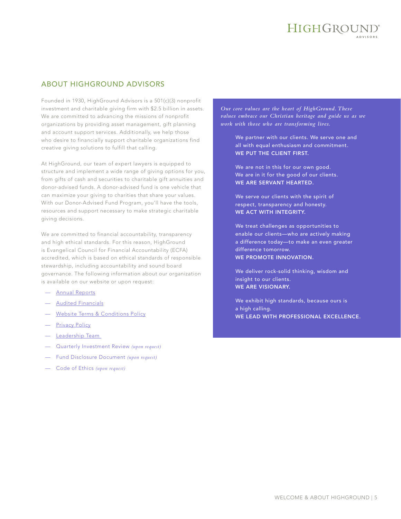#### ABOUT HIGHGROUND ADVISORS

Founded in 1930, HighGround Advisors is a 501(c)(3) nonprofit investment and charitable giving firm with \$2.5 billion in assets. We are committed to advancing the missions of nonprofit organizations by providing asset management, gift planning and account support services. Additionally, we help those who desire to financially support charitable organizations find creative giving solutions to fulfill that calling.

At HighGround, our team of expert lawyers is equipped to structure and implement a wide range of giving options for you, from gifts of cash and securities to charitable gift annuities and donor-advised funds. A donor-advised fund is one vehicle that can maximize your giving to charities that share your values. With our Donor-Advised Fund Program, you'll have the tools, resources and support necessary to make strategic charitable giving decisions.

We are committed to financial accountability, transparency and high ethical standards. For this reason, HighGround is Evangelical Council for Financial Accountability (ECFA) accredited, which is based on ethical standards of responsible stewardship, including accountability and sound board governance. The following information about our organization is available on our website or upon request:

- A[nnual Reports](https://www.highgroundadvisors.org/media)
- [Audited Financials](https://www.highgroundadvisors.org/media)
- **[Website Terms & Conditions Policy](https://www.highgroundadvisors.org/terms-conditions)**
- [Privacy Policy](https://www.highgroundadvisors.org/privacy-policy)
- [Leadership Team](https://www.highgroundadvisors.org/who-we-are#leadership)
- Quarterly Investment Review *(upon request)*
- Fund Disclosure Document *(upon request)*
- Code of Ethics *(upon request)*

*Our core values are the heart of HighGround. These values embrace our Christian heritage and guide us as we work with those who are transforming lives.* 

> We partner with our clients. We serve one and all with equal enthusiasm and commitment. WE PUT THE CLIENT FIRST.

We are not in this for our own good. We are in it for the good of our clients. WE ARE SERVANT HEARTED.

We serve our clients with the spirit of respect, transparency and honesty. WE ACT WITH INTEGRITY.

We treat challenges as opportunities to enable our clients—who are actively making a difference today—to make an even greater difference tomorrow. WE PROMOTE INNOVATION.

We deliver rock-solid thinking, wisdom and insight to our clients. WE ARE VISIONARY.

We exhibit high standards, because ours is a high calling. WE LEAD WITH PROFESSIONAL EXCELLENCE.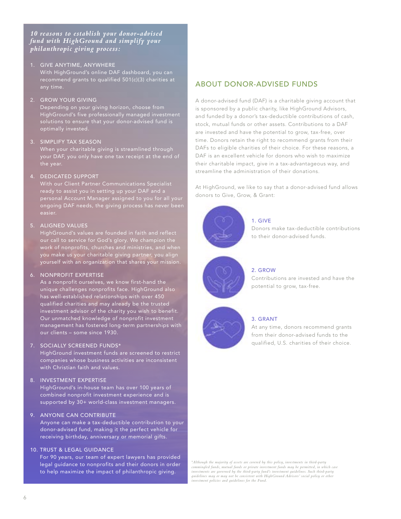#### *10 reasons to establish your donor-advised fund with HighGround and simplify your philanthropic giving process:*

1. GIVE ANYTIME, ANYWHERE With HighGround's online DAF dashboard, you can recommend grants to qualified 501(c)(3) charities at

#### 2. GROW YOUR GIVING

Depending on your giving horizon, choose from HighGround's five professionally managed investment

#### 3. SIMPLIFY TAX SEASON

the year.

#### 4. DEDICATED SUPPORT

ready to assist you in setting up your DAF and a personal Account Manager assigned to you for all your ongoing DAF needs, the giving process has never been easier.

#### 5. ALIGNED VALUES

HighGround's values are founded in faith and reflect our call to service for God's glory. We champion the work of nonprofits, churches and ministries, and when you make us your charitable giving partner, you align yourself with an organization that shares your mission.

#### 6. NONPROFIT EXPERTISE

As a nonprofit ourselves, we know first-hand the unique challenges nonprofits face. HighGround also has well-established relationships with over 450 qualified charities and may already be the trusted investment advisor of the charity you wish to benefit. Our unmatched knowledge of nonprofit investment management has fostered long-term partnerships with our clients – some since 1930.

#### 7. SOCIALLY SCREENED FUNDS\*

HighGround investment funds are screened to restrict companies whose business activities are inconsistent with Christian faith and values.

#### 8. INVESTMENT EXPERTISE

HighGround's in-house team has over 100 years of combined nonprofit investment experience and is supported by 30+ world-class investment managers.

#### 9. ANYONE CAN CONTRIBUTE

Anyone can make a tax-deductible contribution to your donor-advised fund, making it the perfect vehicle for receiving birthday, anniversary or memorial gifts.

#### 10. TRUST & LEGAL GUIDANCE

For 90 years, our team of expert lawyers has provided legal guidance to nonprofits and their donors in order to help maximize the impact of philanthropic giving.

#### ABOUT DONOR-ADVISED FUNDS

A donor-advised fund (DAF) is a charitable giving account that is sponsored by a public charity, like HighGround Advisors, and funded by a donor's tax-deductible contributions of cash, stock, mutual funds or other assets. Contributions to a DAF are invested and have the potential to grow, tax-free, over time. Donors retain the right to recommend grants from their DAFs to eligible charities of their choice. For these reasons, a DAF is an excellent vehicle for donors who wish to maximize their charitable impact, give in a tax-advantageous way, and streamline the administration of their donations.

At HighGround, we like to say that a donor-advised fund allows donors to Give, Grow, & Grant:



#### 1. GIVE

Donors make tax-deductible contributions to their donor-advised funds.

#### 2. GROW

Contributions are invested and have the potential to grow, tax-free.



#### 3. GRANT

At any time, donors recommend grants from their donor-advised funds to the qualified, U.S. charities of their choice.

*\* Although the majority of assets are covered by this policy, investments in third-party commingled funds, mutual funds or private investment funds may be permitted, in which case investments are governed by the third-party fund's investment guidelines. Such third-party guidelines may or may not be consistent with HighGround Advisors' social policy or other investment policies and guidelines for the Fund.*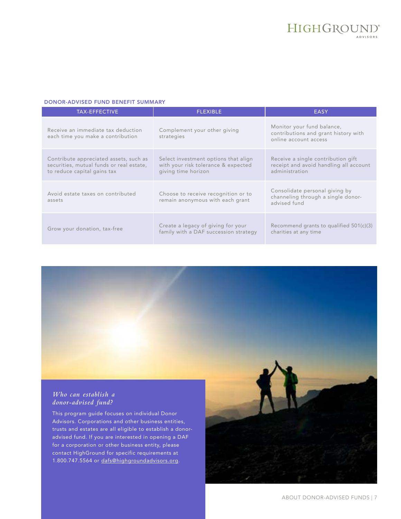#### DONOR-ADVISED FUND BENEFIT SUMMARY

| <b>TAX-EFFECTIVE</b>                                                                                              | <b>FLEXIBLE</b>                                                                                    | <b>EASY</b>                                                                                    |
|-------------------------------------------------------------------------------------------------------------------|----------------------------------------------------------------------------------------------------|------------------------------------------------------------------------------------------------|
| Receive an immediate tax deduction<br>each time you make a contribution                                           | Complement your other giving<br>strategies                                                         | Monitor your fund balance,<br>contributions and grant history with<br>online account access    |
| Contribute appreciated assets, such as<br>securities, mutual funds or real estate,<br>to reduce capital gains tax | Select investment options that align<br>with your risk tolerance & expected<br>giving time horizon | Receive a single contribution gift<br>receipt and avoid handling all account<br>administration |
| Avoid estate taxes on contributed<br>assets                                                                       | Choose to receive recognition or to<br>remain anonymous with each grant                            | Consolidate personal giving by<br>channeling through a single donor-<br>advised fund           |
| Grow your donation, tax-free                                                                                      | Create a legacy of giving for your<br>family with a DAF succession strategy                        | Recommend grants to qualified 501(c)(3)<br>charities at any time                               |

#### *Who can establish a donor-advised fund?*

This program guide focuses on individual Donor Advisors. Corporations and other business entities, trusts and estates are all eligible to establish a donoradvised fund. If you are interested in opening a DAF for a corporation or other business entity, please contact HighGround for specific requirements at 1.800.747.5564 or [dafs@highgroundadvisors.org](mailto:dafs@highgroundadvisors.org).

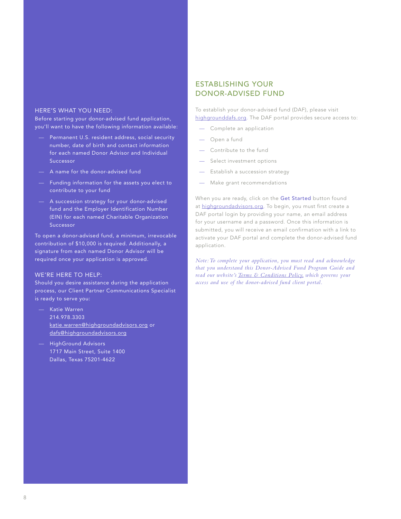#### HERE'S WHAT YOU NEED:

Before starting your donor-advised fund application, you'll want to have the following information available:

- Permanent U.S. resident address, social security number, date of birth and contact information for each named Donor Advisor and Individual Successor
- A name for the donor-advised fund
- Funding information for the assets you elect to contribute to your fund
- A succession strategy for your donor-advised fund and the Employer Identification Number (EIN) for each named Charitable Organization Successor

To open a donor-advised fund, a minimum, irrevocable contribution of \$10,000 is required. Additionally, a signature from each named Donor Advisor will be required once your application is approved.

#### WE'RE HERE TO HELP:

Should you desire assistance during the application process, our Client Partner Communications Specialist is ready to serve you:

- Katie Warren 214.978.3303 [katie.warren@highgroundadvisors.org](mailto:katie.warren@highgroundadvisors.org) or dafs@highgroundadvisors.org
- HighGround Advisors 1717 Main Street, Suite 1400 Dallas, Texas 75201-4622

#### ESTABLISHING YOUR DONOR-ADVISED FUND

To establish your donor-advised fund (DAF), please visit [highgrounddafs.org](https://highgrounddafs.org/donor-registration.shtml). The DAF portal provides secure access to:

- Complete an application
- Open a fund
- Contribute to the fund
- Select investment options
- Establish a succession strategy
- Make grant recommendations

When you are ready, click on the Get Started button found at [highgroundadvisors.org](www.highgroundadvisors.org). To begin, you must first create a DAF portal login by providing your name, an email address for your username and a password. Once this information is submitted, you will receive an email confirmation with a link to activate your DAF portal and complete the donor-advised fund application.

*Note: To complete your application, you must read and acknowledge that you understand this Donor-Advised Fund Program Guide and read our website's [Terms & Conditions Policy](https://www.highgroundadvisors.org/terms-conditions), which governs your access and use of the donor-advised fund client portal.*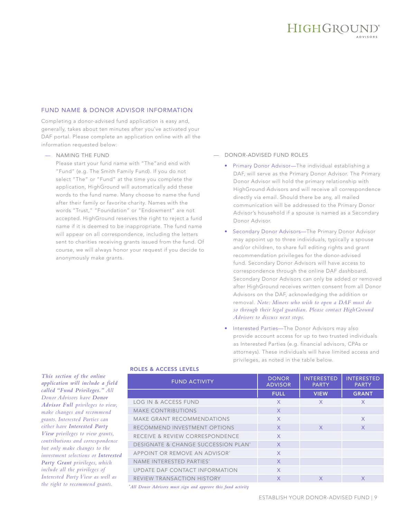## HIGHGROUND®

#### FUND NAME & DONOR ADVISOR INFORMATION

Completing a donor-advised fund application is easy and, generally, takes about ten minutes after you've activated your DAF portal. Please complete an application online with all the information requested below:

#### — NAMING THE FUND

Please start your fund name with "The"and end with "Fund" (e.g. The Smith Family Fund). If you do not select "The" or "Fund" at the time you complete the application, HighGround will automatically add these words to the fund name. Many choose to name the fund after their family or favorite charity. Names with the words "Trust," "Foundation" or "Endowment" are not accepted. HighGround reserves the right to reject a fund name if it is deemed to be inappropriate. The fund name will appear on all correspondence, including the letters sent to charities receiving grants issued from the fund. Of course, we will always honor your request if you decide to anonymously make grants.

#### — DONOR-ADVISED FUND ROLES

- Primary Donor Advisor—The individual establishing a DAF, will serve as the Primary Donor Advisor. The Primary Donor Advisor will hold the primary relationship with HighGround Advisors and will receive all correspondence directly via email. Should there be any, all mailed communication will be addressed to the Primary Donor Advisor's household if a spouse is named as a Secondary Donor Advisor.
- Secondary Donor Advisors—The Primary Donor Advisor may appoint up to three individuals, typically a spouse and/or children, to share full editing rights and grant recommendation privileges for the donor-advised fund. Secondary Donor Advisors will have access to correspondence through the online DAF dashboard. Secondary Donor Advisors can only be added or removed after HighGround receives written consent from all Donor Advisors on the DAF, acknowledging the addition or removal. *Note: Minors who wish to open a DAF must do so through their legal guardian. Please contact HighGround Advisors to discuss next steps.*
- Interested Parties—The Donor Advisors may also provide account access for up to two trusted individuals as Interested Parties (e.g. financial advisors, CPAs or attorneys). These individuals will have limited access and privileges, as noted in the table below.

*This section of the online application will include a field called "Fund Privileges." All Donor Advisors have Donor Advisor Full privileges to view, make changes and recommend grants. Interested Parties can either have Interested Party View privileges to view grants, contributions and correspondence but only make changes to the investment selections or Interested Party Grant privileges, which include all the privileges of Interested Party View as well as the right to recommend grants.*

#### ROLES & ACCESS LEVELS

| <b>FUND ACTIVITY</b>                           | <b>DONOR</b><br><b>ADVISOR</b> | <b>INTERESTED</b><br><b>PARTY</b> | <b>INTERESTED</b><br><b>PARTY</b> |
|------------------------------------------------|--------------------------------|-----------------------------------|-----------------------------------|
|                                                | <b>FULL</b>                    | <b>VIEW</b>                       | <b>GRANT</b>                      |
| <b>LOG IN &amp; ACCESS FUND</b>                | $\mathsf{X}$                   | X                                 | $\mathsf{X}$                      |
| <b>MAKE CONTRIBUTIONS</b>                      | $\mathsf{X}$                   |                                   |                                   |
| <b>MAKE GRANT RECOMMENDATIONS</b>              | $\mathsf{X}$                   |                                   | $\mathsf{X}$                      |
| RECOMMEND INVESTMENT OPTIONS                   | $\chi$                         | $\mathsf{X}$                      | $\mathsf{X}$                      |
| RECEIVE & REVIEW CORRESPONDENCE                | $\sf X$                        |                                   |                                   |
| <b>DESIGNATE &amp; CHANGE SUCCESSION PLAN*</b> | $\mathsf{X}$                   |                                   |                                   |
| APPOINT OR REMOVE AN ADVISOR*                  | $\mathsf{X}$                   |                                   |                                   |
| NAME INTERESTED PARTIES*                       | $\chi$                         |                                   |                                   |
| UPDATE DAF CONTACT INFORMATION                 | $\mathsf{x}$                   |                                   |                                   |
| <b>REVIEW TRANSACTION HISTORY</b>              | $\mathsf{X}$                   | X                                 | $\mathsf{X}$                      |
|                                                |                                |                                   |                                   |

*\* All Donor Advisors must sign and approve this fund activity*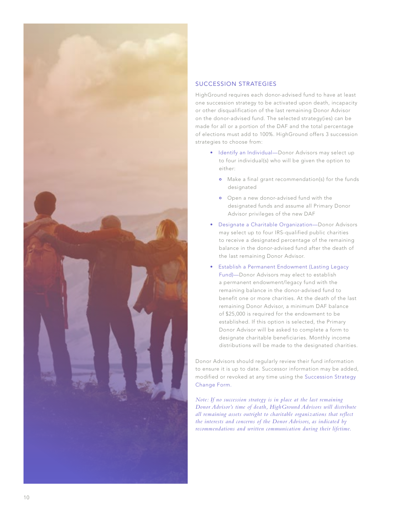

#### SUCCESSION STRATEGIES

HighGround requires each donor-advised fund to have at least one succession strategy to be activated upon death, incapacity or other disqualification of the last remaining Donor Advisor on the donor-advised fund. The selected strategy(ies) can be made for all or a portion of the DAF and the total percentage of elections must add to 100%. HighGround offers 3 succession strategies to choose from:

- Identify an Individual—Donor Advisors may select up to four individual(s) who will be given the option to either:
	- Make a final grant recommendation(s) for the funds designated
	- Open a new donor-advised fund with the designated funds and assume all Primary Donor Advisor privileges of the new DAF
- Designate a Charitable Organization—Donor Advisors may select up to four IRS-qualified public charities to receive a designated percentage of the remaining balance in the donor-advised fund after the death of the last remaining Donor Advisor.
- Establish a Permanent Endowment (Lasting Legacy Fund)—Donor Advisors may elect to establish a permanent endowment/legacy fund with the remaining balance in the donor-advised fund to benefit one or more charities. At the death of the last remaining Donor Advisor, a minimum DAF balance of \$25,000 is required for the endowment to be established. If this option is selected, the Primary Donor Advisor will be asked to complete a form to designate charitable beneficiaries. Monthly income distributions will be made to the designated charities.

Donor Advisors should regularly review their fund information to ensure it is up to date. Successor information may be added, modified or revoked at any time using the Succession Strategy Change Form.

*Note: If no succession strategy is in place at the last remaining Donor Advisor's time of death, HighGround Advisors will distribute all remaining assets outright to charitable organizations that reflect the interests and concerns of the Donor Advisors, as indicated by recommendations and written communication during their lifetime.*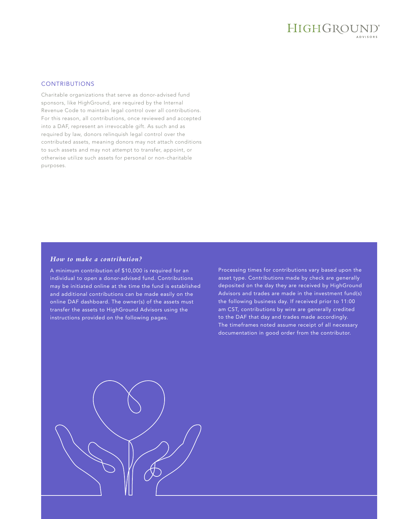## HIGHGROUND®

#### **CONTRIBUTIONS**

Charitable organizations that serve as donor-advised fund sponsors, like HighGround, are required by the Internal Revenue Code to maintain legal control over all contributions. For this reason, all contributions, once reviewed and accepted into a DAF, represent an irrevocable gift. As such and as required by law, donors relinquish legal control over the contributed assets, meaning donors may not attach conditions to such assets and may not attempt to transfer, appoint, or otherwise utilize such assets for personal or non-charitable purposes.

#### *How to make a contribution?*

A minimum contribution of \$10,000 is required for an individual to open a donor-advised fund. Contributions may be initiated online at the time the fund is established and additional contributions can be made easily on the online DAF dashboard. The owner(s) of the assets must transfer the assets to HighGround Advisors using the instructions provided on the following pages.

Processing times for contributions vary based upon the asset type. Contributions made by check are generally deposited on the day they are received by HighGround Advisors and trades are made in the investment fund(s) the following business day. If received prior to 11:00 am CST, contributions by wire are generally credited to the DAF that day and trades made accordingly. The timeframes noted assume receipt of all necessary documentation in good order from the contributor.

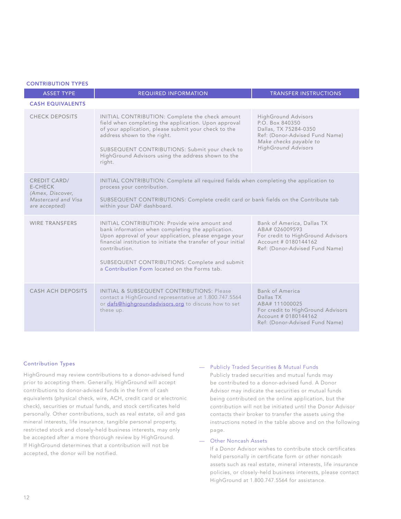| <b>CONTRIBUTION TYPES</b>                                                                         |                                                                                                                                                                                                                                                                                                                                                  |                                                                                                                                                                  |
|---------------------------------------------------------------------------------------------------|--------------------------------------------------------------------------------------------------------------------------------------------------------------------------------------------------------------------------------------------------------------------------------------------------------------------------------------------------|------------------------------------------------------------------------------------------------------------------------------------------------------------------|
| <b>ASSET TYPE</b>                                                                                 | <b>REQUIRED INFORMATION</b>                                                                                                                                                                                                                                                                                                                      | <b>TRANSFER INSTRUCTIONS</b>                                                                                                                                     |
| <b>CASH EQUIVALENTS</b>                                                                           |                                                                                                                                                                                                                                                                                                                                                  |                                                                                                                                                                  |
| <b>CHECK DEPOSITS</b>                                                                             | INITIAL CONTRIBUTION: Complete the check amount<br>field when completing the application. Upon approval<br>of your application, please submit your check to the<br>address shown to the right.<br>SUBSEQUENT CONTRIBUTIONS: Submit your check to<br>HighGround Advisors using the address shown to the<br>right.                                 | <b>HighGround Advisors</b><br>P.O. Box 840350<br>Dallas, TX 75284-0350<br>Ref: (Donor-Advised Fund Name)<br>Make checks payable to<br><b>HighGround Advisors</b> |
| <b>CREDIT CARD/</b><br><b>E-CHECK</b><br>(Amex, Discover,<br>Mastercard and Visa<br>are accepted) | INITIAL CONTRIBUTION: Complete all required fields when completing the application to<br>process your contribution.<br>SUBSEQUENT CONTRIBUTIONS: Complete credit card or bank fields on the Contribute tab<br>within your DAF dashboard.                                                                                                         |                                                                                                                                                                  |
| <b>WIRE TRANSFERS</b>                                                                             | INITIAL CONTRIBUTION: Provide wire amount and<br>bank information when completing the application.<br>Upon approval of your application, please engage your<br>financial institution to initiate the transfer of your initial<br>contribution.<br>SUBSEQUENT CONTRIBUTIONS: Complete and submit<br>a Contribution Form located on the Forms tab. | Bank of America, Dallas TX<br>ABA# 026009593<br>For credit to HighGround Advisors<br>Account # 0180144162<br>Ref: (Donor-Advised Fund Name)                      |
| <b>CASH ACH DEPOSITS</b>                                                                          | INITIAL & SUBSEQUENT CONTRIBUTIONS: Please<br>contact a HighGround representative at 1.800.747.5564<br>or dafs@highgroundadvisors.org to discuss how to set<br>these up.                                                                                                                                                                         | <b>Bank of America</b><br>Dallas TX<br>ABA# 111000025<br>For credit to HighGround Advisors<br>Account # 0180144162<br>Ref: (Donor-Advised Fund Name)             |

#### Contribution Types

HighGround may review contributions to a donor-advised fund prior to accepting them. Generally, HighGround will accept contributions to donor-advised funds in the form of cash equivalents (physical check, wire, ACH, credit card or electronic check), securities or mutual funds, and stock certificates held personally. Other contributions, such as real estate, oil and gas mineral interests, life insurance, tangible personal property, restricted stock and closely-held business interests, may only be accepted after a more thorough review by HighGround. If HighGround determines that a contribution will not be accepted, the donor will be notified.

#### — Publicly Traded Securities & Mutual Funds

Publicly traded securities and mutual funds may be contributed to a donor-advised fund. A Donor Advisor may indicate the securities or mutual funds being contributed on the online application, but the contribution will not be initiated until the Donor Advisor contacts their broker to transfer the assets using the instructions noted in the table above and on the following page.

#### — Other Noncash Assets

If a Donor Advisor wishes to contribute stock certificates held personally in certificate form or other noncash assets such as real estate, mineral interests, life insurance policies, or closely-held business interests, please contact HighGround at 1.800.747.5564 for assistance.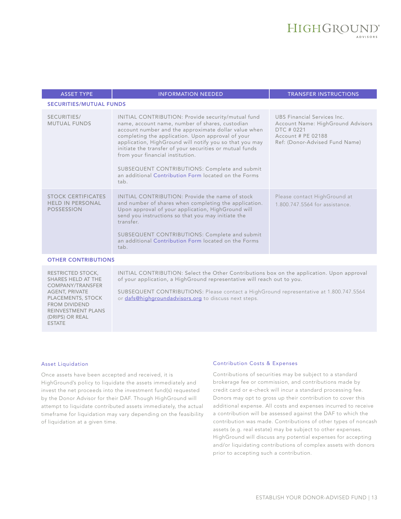| <b>ASSET TYPE</b>                                                         | <b>INFORMATION NEEDED</b>                                                                                                                                                                                                                                                                                                                                                                                                                                                                      | <b>TRANSFER INSTRUCTIONS</b>                                                                                                           |
|---------------------------------------------------------------------------|------------------------------------------------------------------------------------------------------------------------------------------------------------------------------------------------------------------------------------------------------------------------------------------------------------------------------------------------------------------------------------------------------------------------------------------------------------------------------------------------|----------------------------------------------------------------------------------------------------------------------------------------|
| <b>SECURITIES/MUTUAL FUNDS</b>                                            |                                                                                                                                                                                                                                                                                                                                                                                                                                                                                                |                                                                                                                                        |
| SECURITIES/<br><b>MUTUAL FUNDS</b>                                        | INITIAL CONTRIBUTION: Provide security/mutual fund<br>name, account name, number of shares, custodian<br>account number and the approximate dollar value when<br>completing the application. Upon approval of your<br>application, HighGround will notify you so that you may<br>initiate the transfer of your securities or mutual funds<br>from your financial institution.<br>SUBSEQUENT CONTRIBUTIONS: Complete and submit<br>an additional Contribution Form located on the Forms<br>tab. | UBS Financial Services Inc.<br>Account Name: HighGround Advisors<br>DTC # 0221<br>Account # PE 02188<br>Ref: (Donor-Advised Fund Name) |
| <b>STOCK CERTIFICATES</b><br><b>HELD IN PERSONAL</b><br><b>POSSESSION</b> | INITIAL CONTRIBUTION: Provide the name of stock<br>and number of shares when completing the application.<br>Upon approval of your application, HighGround will<br>send you instructions so that you may initiate the<br>transfer.<br>SUBSEQUENT CONTRIBUTIONS: Complete and submit<br>an additional Contribution Form located on the Forms<br>tab.                                                                                                                                             | Please contact HighGround at<br>1.800.747.5564 for assistance.                                                                         |
| <b>OTHER CONTRIBUTIONS</b>                                                |                                                                                                                                                                                                                                                                                                                                                                                                                                                                                                |                                                                                                                                        |
| RESTRICTED STOCK                                                          | $INITIAL CONTRIRIITION: Select the Other Contributions box on the application. Upon approval.$                                                                                                                                                                                                                                                                                                                                                                                                 |                                                                                                                                        |

RESTRICTED STOCK, SHARES HELD AT THE COMPANY/TRANSFER AGENT, PRIVATE PLACEMENTS, STOCK FROM DIVIDEND REINVESTMENT PLANS (DRIPS) OR REAL ESTATE

INITIAL CONTRIBUTION: Select the Other Contributions box on the application. Upon approval of your application, a HighGround representative will reach out to you.

SUBSEQUENT CONTRIBUTIONS: Please contact a HighGround representative at 1.800.747.5564 or [dafs@highgroundadvisors.org](mailto:dafs@highgroundadvisors.org) to discuss next steps.

#### Asset Liquidation

Once assets have been accepted and received, it is HighGround's policy to liquidate the assets immediately and invest the net proceeds into the investment fund(s) requested by the Donor Advisor for their DAF. Though HighGround will attempt to liquidate contributed assets immediately, the actual timeframe for liquidation may vary depending on the feasibility of liquidation at a given time.

#### Contribution Costs & Expenses

Contributions of securities may be subject to a standard brokerage fee or commission, and contributions made by credit card or e-check will incur a standard processing fee. Donors may opt to gross up their contribution to cover this additional expense. All costs and expenses incurred to receive a contribution will be assessed against the DAF to which the contribution was made. Contributions of other types of noncash assets (e.g. real estate) may be subject to other expenses. HighGround will discuss any potential expenses for accepting and/or liquidating contributions of complex assets with donors prior to accepting such a contribution.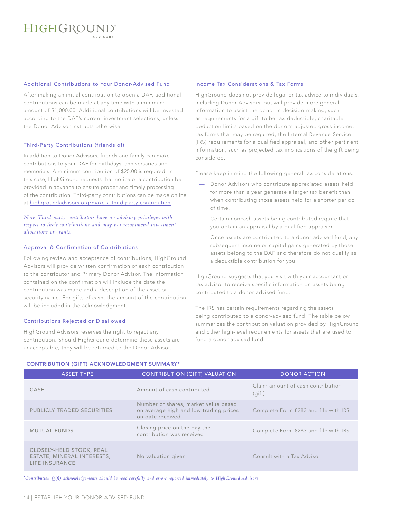## HIGHGROUND®

#### Additional Contributions to Your Donor-Advised Fund

After making an initial contribution to open a DAF, additional contributions can be made at any time with a minimum amount of \$1,000.00. Additional contributions will be invested according to the DAF's current investment selections, unless the Donor Advisor instructs otherwise.

#### Third-Party Contributions (friends of)

In addition to Donor Advisors, friends and family can make contributions to your DAF for birthdays, anniversaries and memorials. A minimum contribution of \$25.00 is required. In this case, HighGround requests that notice of a contribution be provided in advance to ensure proper and timely processing of the contribution. Third-party contributions can be made online at [highgroundadvisors.org/make-a-third-party-contribution.](https://www.highgroundadvisors.org/make-a-third-party-contribution)

*Note: Third-party contributors have no advisory privileges with respect to their contributions and may not recommend investment allocations or grants.*

#### Approval & Confirmation of Contributions

Following review and acceptance of contributions, HighGround Advisors will provide written confirmation of each contribution to the contributor and Primary Donor Advisor. The information contained on the confirmation will include the date the contribution was made and a description of the asset or security name. For gifts of cash, the amount of the contribution will be included in the acknowledgment.

#### Contributions Rejected or Disallowed

HighGround Advisors reserves the right to reject any contribution. Should HighGround determine these assets are unacceptable, they will be returned to the Donor Advisor.

#### Income Tax Considerations & Tax Forms

HighGround does not provide legal or tax advice to individuals, including Donor Advisors, but will provide more general information to assist the donor in decision-making, such as requirements for a gift to be tax-deductible, charitable deduction limits based on the donor's adjusted gross income, tax forms that may be required, the Internal Revenue Service (IRS) requirements for a qualified appraisal, and other pertinent information, such as projected tax implications of the gift being considered.

Please keep in mind the following general tax considerations:

- Donor Advisors who contribute appreciated assets held for more than a year generate a larger tax benefit than when contributing those assets held for a shorter period of time.
- Certain noncash assets being contributed require that you obtain an appraisal by a qualified appraiser.
- Once assets are contributed to a donor-advised fund, any subsequent income or capital gains generated by those assets belong to the DAF and therefore do not qualify as a deductible contribution for you.

HighGround suggests that you visit with your accountant or tax advisor to receive specific information on assets being contributed to a donor-advised fund.

The IRS has certain requirements regarding the assets being contributed to a donor-advised fund. The table below summarizes the contribution valuation provided by HighGround and other high-level requirements for assets that are used to fund a donor-advised fund.

| <b>ASSET TYPE</b>                                                        | <b>CONTRIBUTION (GIFT) VALUATION</b>                                                               | <b>DONOR ACTION</b>                         |
|--------------------------------------------------------------------------|----------------------------------------------------------------------------------------------------|---------------------------------------------|
| CASH                                                                     | Amount of cash contributed                                                                         | Claim amount of cash contribution<br>(qift) |
| PUBLICLY TRADED SECURITIES                                               | Number of shares, market value based<br>on average high and low trading prices<br>on date received | Complete Form 8283 and file with IRS        |
| <b>MUTUAL FUNDS</b>                                                      | Closing price on the day the<br>contribution was received                                          | Complete Form 8283 and file with IRS        |
| CLOSELY-HELD STOCK, REAL<br>ESTATE, MINERAL INTERESTS,<br>LIFE INSURANCE | No valuation given                                                                                 | Consult with a Tax Advisor                  |

CONTRIBUTION (GIFT) ACKNOWLEDGMENT SUMMARY\*

*\* Contribution (gift) acknowledgements should be read carefully and errors reported immediately to HighGround Advisors*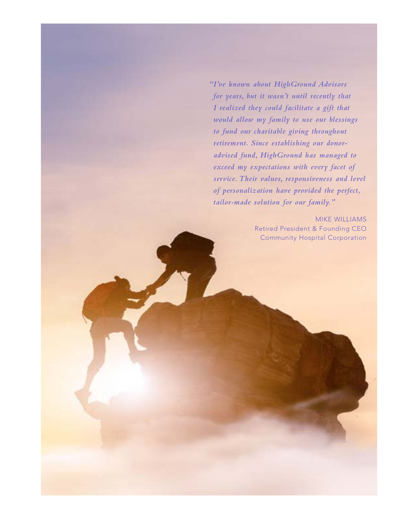*"I've known about HighGround Advisors for years, but it wasn't until recently that I realized they could facilitate a gift that would allow my family to use our blessings to fund our charitable giving throughout retirement. Since establishing our donoradvised fund, HighGround has managed to exceed my expectations with every facet of service. Their values, responsiveness and level of personalization have provided the perfect, tailor-made solution for our family."*

> MIKE WILLIAMS Retired President & Founding CEO Community Hospital Corporation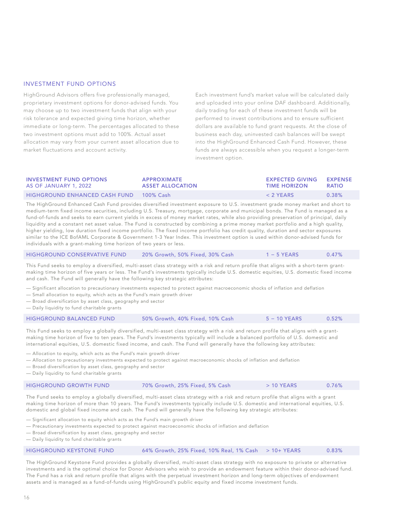#### INVESTMENT FUND OPTIONS

HighGround Advisors offers five professionally managed, proprietary investment options for donor-advised funds. You may choose up to two investment funds that align with your risk tolerance and expected giving time horizon, whether immediate or long-term. The percentages allocated to these two investment options must add to 100%. Actual asset allocation may vary from your current asset allocation due to market fluctuations and account activity.

Each investment fund's market value will be calculated daily and uploaded into your online DAF dashboard. Additionally, daily trading for each of these investment funds will be performed to invest contributions and to ensure sufficient dollars are available to fund grant requests. At the close of business each day, uninvested cash balances will be swept into the HighGround Enhanced Cash Fund. However, these funds are always accessible when you request a longer-term investment option.

| <b>INVESTMENT FUND OPTIONS</b> | <b>APPROXIMATE</b>      | <b>EXPECTED GIVING</b> | <b>EXPENSE</b> |
|--------------------------------|-------------------------|------------------------|----------------|
| AS OF JANUARY 1, 2022          | <b>ASSET ALLOCATION</b> | <b>TIME HORIZON</b>    | <b>RATIO</b>   |
| HIGHGROUND ENHANCED CASH FUND  | 100% Cash               | $<$ 2 YFARS            | $0.38\%$       |

The HighGround Enhanced Cash Fund provides diversified investment exposure to U.S. investment grade money market and short to medium-term fixed income securities, including U.S. Treasury, mortgage, corporate and municipal bonds. The Fund is managed as a fund-of-funds and seeks to earn current yields in excess of money market rates, while also providing preservation of principal, daily liquidity and a constant net asset value. The Fund is constructed by combining a prime money market portfolio and a high quality, higher yielding, low duration fixed income portfolio. The fixed income portfolio has credit quality, duration and sector exposures similar to the ICE BofAML Corporate & Government 1-3 Year Index. This investment option is used within donor-advised funds for individuals with a grant-making time horizon of two years or less.

|  | <b>HIGHGROUND CONSERVATIVE FUND</b> | 20% Growth, 50% Fixed, 30% Cash | $1 - 5$ YEARS | 0.47% |
|--|-------------------------------------|---------------------------------|---------------|-------|
|--|-------------------------------------|---------------------------------|---------------|-------|

This Fund seeks to employ a diversified, multi-asset class strategy with a risk and return profile that aligns with a short-term grantmaking time horizon of five years or less. The Fund's investments typically include U.S. domestic equities, U.S. domestic fixed income and cash. The Fund will generally have the following key strategic attributes:

— Significant allocation to precautionary investments expected to protect against macroeconomic shocks of inflation and deflation

- Small allocation to equity, which acts as the Fund's main growth driver
- Broad diversification by asset class, geography and sector
- Daily liquidity to fund charitable grants

| <b>HIGHGROUND BALANCED FUND</b> | 50% Growth, 40% Fixed, 10% Cash | $5 - 10$ YEARS | 0.52% |
|---------------------------------|---------------------------------|----------------|-------|
|---------------------------------|---------------------------------|----------------|-------|

This Fund seeks to employ a globally diversified, multi-asset class strategy with a risk and return profile that aligns with a grantmaking time horizon of five to ten years. The Fund's investments typically will include a balanced portfolio of U.S. domestic and international equities, U.S. domestic fixed income, and cash. The Fund will generally have the following key attributes:

— Allocation to equity, which acts as the Fund's main growth driver

- Allocation to precautionary investments expected to protect against macroeconomic shocks of inflation and deflation
- Broad diversification by asset class, geography and sector

— Daily liquidity to fund charitable grants

| <b>HIGHGROUND GROWTH FUND</b> | 170% Growth, 25% Fixed, 5% Cash | $>10$ YEARS | 0.76% |
|-------------------------------|---------------------------------|-------------|-------|
|-------------------------------|---------------------------------|-------------|-------|

The Fund seeks to employ a globally diversified, multi-asset class strategy with a risk and return profile that aligns with a grant making time horizon of more than 10 years. The Fund's investments typically include U.S. domestic and international equities, U.S. domestic and global fixed income and cash. The Fund will generally have the following key strategic attributes:

— Significant allocation to equity which acts as the Fund's main growth driver

- Precautionary investments expected to protect against macroeconomic shocks of inflation and deflation
- Broad diversification by asset class, geography and sector
- Daily liquidity to fund charitable grants

| <b>HIGHGROUND KEYSTONE FUND</b> | 64% Growth, 25% Fixed, 10% Real, 1% Cash $\rightarrow$ 10+ YEARS |  | 0.83% |
|---------------------------------|------------------------------------------------------------------|--|-------|
|---------------------------------|------------------------------------------------------------------|--|-------|

The HighGround Keystone Fund provides a globally diversified, multi-asset class strategy with no exposure to private or alternative investments and is the optimal choice for Donor Advisors who wish to provide an endowment feature within their donor-advised fund. The Fund has a risk and return profile that aligns with the perpetual investment horizon and long-term objectives of endowment assets and is managed as a fund-of-funds using HighGround's public equity and fixed income investment funds.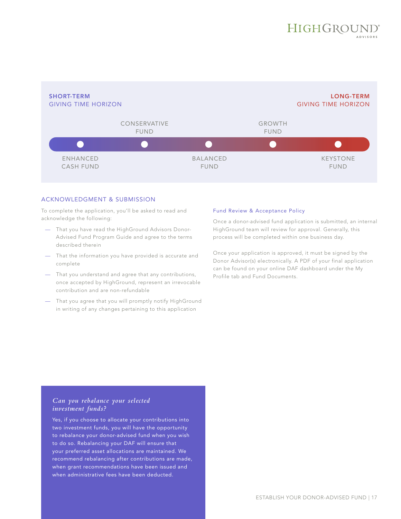

#### ACKNOWLEDGMENT & SUBMISSION

To complete the application, you'll be asked to read and acknowledge the following:

- That you have read the HighGround Advisors Donor-Advised Fund Program Guide and agree to the terms described therein
- That the information you have provided is accurate and complete
- That you understand and agree that any contributions, once accepted by HighGround, represent an irrevocable contribution and are non-refundable
- That you agree that you will promptly notify HighGround in writing of any changes pertaining to this application

#### Fund Review & Acceptance Policy

Once a donor-advised fund application is submitted, an internal HighGround team will review for approval. Generally, this process will be completed within one business day.

Once your application is approved, it must be signed by the Donor Advisor(s) electronically. A PDF of your final application can be found on your online DAF dashboard under the My Profile tab and Fund Documents.

#### *Can you rebalance your selected investment funds?*

Yes, if you choose to allocate your contributions into two investment funds, you will have the opportunity to rebalance your donor-advised fund when you wish to do so. Rebalancing your DAF will ensure that your preferred asset allocations are maintained. We recommend rebalancing after contributions are made, when grant recommendations have been issued and when administrative fees have been deducted.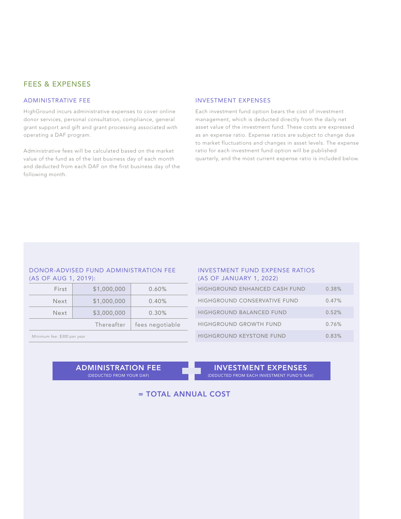#### FEES & EXPENSES

#### ADMINISTRATIVE FEE

HighGround incurs administrative expenses to cover online donor services, personal consultation, compliance, general grant support and gift and grant processing associated with operating a DAF program.

Administrative fees will be calculated based on the market value of the fund as of the last business day of each month and deducted from each DAF on the first business day of the following month.

#### INVESTMENT EXPENSES

Each investment fund option bears the cost of investment management, which is deducted directly from the daily net asset value of the investment fund. These costs are expressed as an expense ratio. Expense ratios are subject to change due to market fluctuations and changes in asset levels. The expense ratio for each investment fund option will be published quarterly, and the most current expense ratio is included below.

#### DONOR-ADVISED FUND ADMINISTRATION FEE (AS OF AUG 1, 2019):

| First                       | \$1,000,000 | 0.60%           |  |
|-----------------------------|-------------|-----------------|--|
| <b>Next</b>                 | \$1,000,000 | 0.40%           |  |
| Next                        | \$3,000,000 | 0.30%           |  |
|                             | Thereafter  | fees negotiable |  |
| Minimum fee: \$300 per year |             |                 |  |

#### INVESTMENT FUND EXPENSE RATIOS (AS OF JANUARY 1, 2022)

| <b>HIGHGROUND ENHANCED CASH FUND</b> | 0.38% |
|--------------------------------------|-------|
| <b>HIGHGROUND CONSERVATIVE FUND</b>  | 0.47% |
| <b>HIGHGROUND BALANCED FUND</b>      | 0.52% |
| HIGHGROUND GROWTH FUND               | 0.76% |
| <b>HIGHGROUND KEYSTONE FUND</b>      | 0.83% |

ADMINISTRATION FEE (DEDUCTED FROM YOUR DAF)

INVESTMENT EXPENSES (DEDUCTED FROM EACH INVESTMENT FUND'S NAV)

= TOTAL ANNUAL COST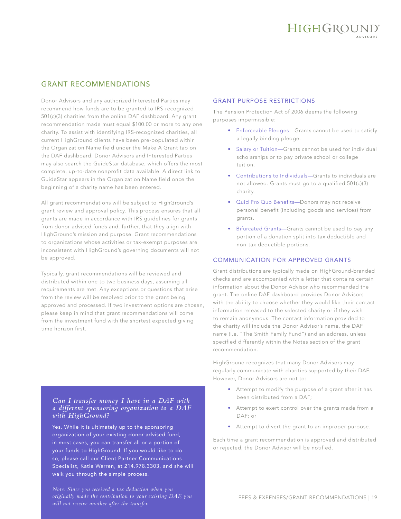#### GRANT RECOMMENDATIONS

Donor Advisors and any authorized Interested Parties may recommend how funds are to be granted to IRS-recognized 501(c)(3) charities from the online DAF dashboard. Any grant recommendation made must equal \$100.00 or more to any one charity. To assist with identifying IRS-recognized charities, all current HighGround clients have been pre-populated within the Organization Name field under the Make A Grant tab on the DAF dashboard. Donor Advisors and Interested Parties may also search the GuideStar database, which offers the most complete, up-to-date nonprofit data available. A direct link to GuideStar appears in the Organization Name field once the beginning of a charity name has been entered.

All grant recommendations will be subject to HighGround's grant review and approval policy. This process ensures that all grants are made in accordance with IRS guidelines for grants from donor-advised funds and, further, that they align with HighGround's mission and purpose. Grant recommendations to organizations whose activities or tax-exempt purposes are inconsistent with HighGround's governing documents will not be approved.

Typically, grant recommendations will be reviewed and distributed within one to two business days, assuming all requirements are met. Any exceptions or questions that arise from the review will be resolved prior to the grant being approved and processed. If two investment options are chosen, please keep in mind that grant recommendations will come from the investment fund with the shortest expected giving time horizon first.

#### *Can I transfer money I have in a DAF with a different sponsoring organization to a DAF with HighGround?*

Yes. While it is ultimately up to the sponsoring organization of your existing donor-advised fund, in most cases, you can transfer all or a portion of your funds to HighGround. If you would like to do so, please call our Client Partner Communications Specialist, Katie Warren, at 214.978.3303, and she will walk you through the simple process.

*Note: Since you received a tax deduction when you originally made the contribution to your existing DAF, you will not receive another after the transfer.*

#### GRANT PURPOSE RESTRICTIONS

The Pension Protection Act of 2006 deems the following purposes impermissible:

- Enforceable Pledges—Grants cannot be used to satisfy a legally binding pledge.
- Salary or Tuition—Grants cannot be used for individual scholarships or to pay private school or college tuition.
- Contributions to Individuals—Grants to individuals are not allowed. Grants must go to a qualified 501(c)(3) charity.
- Quid Pro Quo Benefits—Donors may not receive personal benefit (including goods and services) from grants.
- Bifurcated Grants—Grants cannot be used to pay any portion of a donation split into tax deductible and non-tax deductible portions.

#### COMMUNICATION FOR APPROVED GRANTS

Grant distributions are typically made on HighGround-branded checks and are accompanied with a letter that contains certain information about the Donor Advisor who recommended the grant. The online DAF dashboard provides Donor Advisors with the ability to choose whether they would like their contact information released to the selected charity or if they wish to remain anonymous. The contact information provided to the charity will include the Donor Advisor's name, the DAF name (i.e. "The Smith Family Fund") and an address, unless specified differently within the Notes section of the grant recommendation.

HighGround recognizes that many Donor Advisors may regularly communicate with charities supported by their DAF. However, Donor Advisors are not to:

- Attempt to modify the purpose of a grant after it has been distributed from a DAF;
- Attempt to exert control over the grants made from a DAF; or
- Attempt to divert the grant to an improper purpose.

Each time a grant recommendation is approved and distributed or rejected, the Donor Advisor will be notified.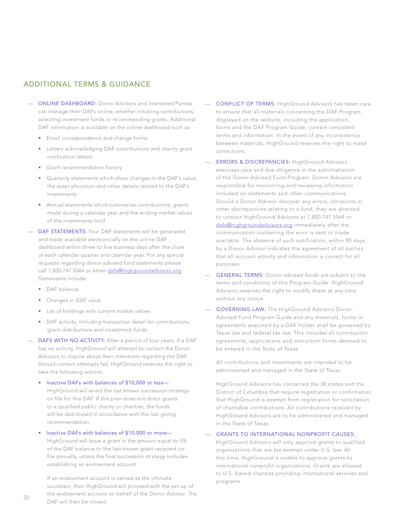#### ADDITIONAL TERMS & GUIDANCE

- **ONLINE DASHBOARD:** Donor Advisors and Interested Parties can manage their DAFs online, whether initiating contributions, selecting investment funds or recommending grants. Additional DAF information is available on the online dashboard such as:
	- Email correspondence and change forms
	- Letters acknowledging DAF contributions and charity grant notification letters
	- Grant recommendation history
	- Quarterly statements which show changes in the DAF's value, the asset allocation and other details related to the DAF's investments
	- Annual statements which summarize contributions, grants made during a calendar year and the ending market values of the investments held
- DAF STATEMENTS: Your DAF statements will be generated and made available electronically on the online DAF dashboard within three to five business days after the close of each calendar quarter and calendar year. For any special requests regarding donor-advised fund statements please call 1.800.747.5564 or email [dafs@highgroundadvisors.org.](mailto:dafs@highgroundadvisors.org) Statements include:
	- DAF balance
	- Changes in DAF value
	- List of holdings with current market values
	- DAF activity, including transaction detail for contributions, grant distributions and investment funds
- DAFS WITH NO ACTIVITY: After a period of four years, if a DAF has no activity, HighGround will attempt to contact the Donor Advisors to inquire about their intentions regarding the DAF. Should contact attempts fail, HighGround reserves the right to take the following actions:
	- Inactive DAFs with balances of \$10,000 or less— HighGround will enact the last known succession strategy on file for this DAF. If this plan does not direct grants to a qualified public charity or charities, the funds will be distributed in accordance with the last giving recommendation.
	- Inactive DAFs with balances of \$10,000 or more—
		- HighGround will issue a grant in the amount equal to 5% of the DAF balance to the last known grant recipient on file annually, unless the final succession strategy includes establishing an endowment account.

If an endowment account is named as the ultimate successor, then HighGround will proceed with the set-up of the endowment account on behalf of the Donor Advisor. The DAF will then be closed.

- CONFLICT OF TERMS: HighGround Advisors has taken care to ensure that all materials concerning the DAF Program displayed on the website, including the application, forms and the DAF Program Guide, contain consistent terms and information. In the event of any inconsistency between materials, HighGround reserves the right to make corrections.
- ERRORS & DISCREPANCIES: HighGround Advisors exercises care and due diligence in the administration of the Donor-Advised Fund Program. Donor Advisors are responsible for monitoring and reviewing information included on statements and other communications. Should a Donor Advisor discover any errors, omissions or other discrepancies relating to a fund, they are directed to contact HighGround Advisors at 1.800.747.5564 or [dafs@highgroundadvisors.org](mailto:dafs@highgroundadvisors.org) immediately after the communication containing the error is sent or made available. The absence of such notification, within 90 days, by a Donor Advisor indicates the agreement of all parties that all account activity and information is correct for all purposes.
- **GENERAL TERMS:** Donor-advised funds are subject to the terms and conditions of this Program Guide. HighGround Advisors reserves the right to modify these at any time without any notice.
- GOVERNING LAW: The HighGround Advisors Donor-Advised Fund Program Guide and any materials, forms or agreements executed by a DAF holder shall be governed by Texas law and federal tax law. This includes all contribution agreements, applications and instruction forms deemed to be entered in the State of Texas.

All contributions and investments are intended to be administered and managed in the State of Texas.

HighGround Advisors has contacted the 38 states and the District of Columbia that require registration or confirmation that HighGround is exempt from registration for solicitation of charitable contributions. All contributions received by HighGround Advisors are to be administered and managed in the State of Texas.

#### — GRANTS TO INTERNATIONAL NONPROFIT CAUSES:

HighGround Advisors will only approve grants to qualified organizations that are tax-exempt under U.S. law. At this time, HighGround is unable to approve grants to international nonprofit organizations. Grants are allowed to U.S.-based charities providing international services and programs.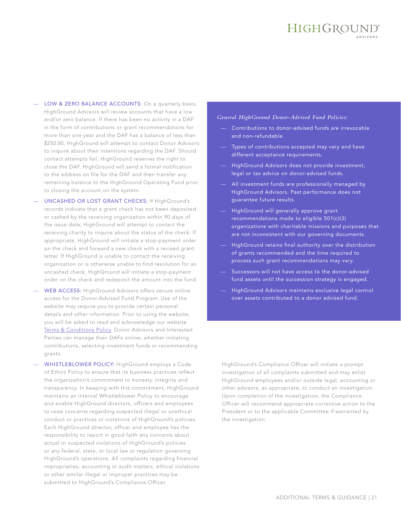LOW & ZERO BALANCE ACCOUNTS: On a quarterly basis, HighGround Advisors will review accounts that have a low and/or zero balance. If there has been no activity in a DAF in the form of contributions or grant recommendations for more than one year and the DAF has a balance of less than \$250.00, HighGround will attempt to contact Donor Advisors to inquire about their intentions regarding the DAF. Should contact attempts fail, HighGround reserves the right to close the DAF. HighGround will send a formal notification to the address on file for the DAF and then transfer any remaining balance to the HighGround Operating Fund prior to closing the account on the system.

- UNCASHED OR LOST GRANT CHECKS: If HighGround's records indicate that a grant check has not been deposited or cashed by the receiving organization within 90 days of the issue date, HighGround will attempt to contact the receiving charity to inquire about the status of the check. If appropriate, HighGround will initiate a stop-payment order on the check and forward a new check with a revised grant letter. If HighGround is unable to contact the receiving organization or is otherwise unable to find resolution for an uncashed check, HighGround will initiate a stop-payment order on the check and redeposit the amount into the fund.
- WEB ACCESS: HighGround Advisors offers secure online access for the Donor-Advised Fund Program. Use of the website may require you to provide certain personal details and other information. Prior to using the website, you will be asked to read and acknowledge our website [Terms & Conditions Policy](https://www.highgroundadvisors.org/terms-conditions). Donor Advisors and Interested Parties can manage their DAFs online, whether initiating contributions, selecting investment funds or recommending grants.
- WHISTLEBLOWER POLICY: HighGround employs a Code of Ethics Policy to ensure that its business practices reflect the organization's commitment to honesty, integrity and transparency. In keeping with this commitment, HighGround maintains an internal Whistleblower Policy to encourage and enable HighGround directors, officers and employees to raise concerns regarding suspected illegal or unethical conduct or practices or violations of HighGround's policies. Each HighGround director, officer and employee has the responsibility to report in good faith any concerns about actual or suspected violations of HighGround's policies or any federal, state, or local law or regulation governing HighGround's operations. All complaints regarding financial improprieties, accounting or audit matters, ethical violations or other similar illegal or improper practices may be submitted to HighGround's Compliance Officer.

#### *General HighGround Donor-Advised Fund Policies:*

- Contributions to donor-advised funds are irrevocable and non-refundable.
- Types of contributions accepted may vary and have different acceptance requirements.
- HighGround Advisors does not provide investment, legal or tax advice on donor-advised funds.
- All investment funds are professionally managed by HighGround Advisors. Past performance does not guarantee future results.
- HighGround will generally approve grant recommendations made to eligible 501(c)(3) organizations with charitable missions and purposes that are not inconsistent with our governing documents.
- HighGround retains final authority over the distribution of grants recommended and the time required to process such grant recommendations may vary.
- Successors will not have access to the donor-advised fund assets until the succession strategy is engaged.
- HighGround Advisors maintains exclusive legal control over assets contributed to a donor advised fund.

HighGround's Compliance Officer will initiate a prompt investigation of all complaints submitted and may enlist HighGround employees and/or outside legal, accounting or other advisors, as appropriate, to conduct an investigation. Upon completion of the investigation, the Compliance Officer will recommend appropriate corrective action to the President or to the applicable Committee if warranted by the investigation.